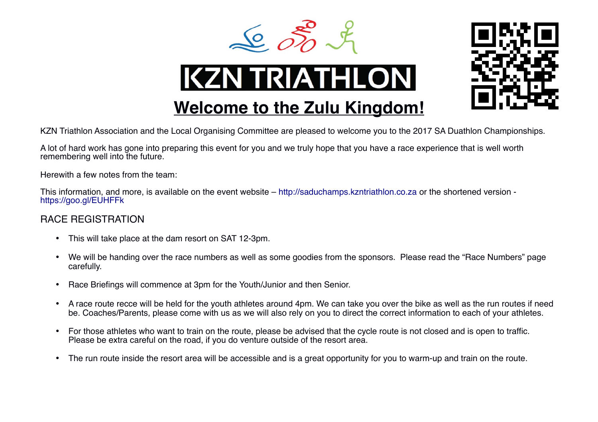



# **KZN TRIATHLON**

**Welcome to the Zulu Kingdom!**

#### KZN Triathlon Association and the Local Organising Committee are pleased to welcome you to the 2017 SA Duathlon Championships.

A lot of hard work has gone into preparing this event for you and we truly hope that you have a race experience that is well worth remembering well into the future.

Herewith a few notes from the team:

This information, and more, is available on the event website – [http://saduchamps.kzntriathlon.co.za](http://saduchamps.kzntriathlon.co.za/) or the shortened version <https://goo.gl/EUHFFk>

#### RACE REGISTRATION

- This will take place at the dam resort on SAT 12-3pm.
- We will be handing over the race numbers as well as some goodies from the sponsors. Please read the "Race Numbers" page carefully.
- Race Briefings will commence at 3pm for the Youth/Junior and then Senior.
- A race route recce will be held for the youth athletes around 4pm. We can take you over the bike as well as the run routes if need be. Coaches/Parents, please come with us as we will also rely on you to direct the correct information to each of your athletes.
- For those athletes who want to train on the route, please be advised that the cycle route is not closed and is open to traffic. Please be extra careful on the road, if you do venture outside of the resort area.
- The run route inside the resort area will be accessible and is a great opportunity for you to warm-up and train on the route.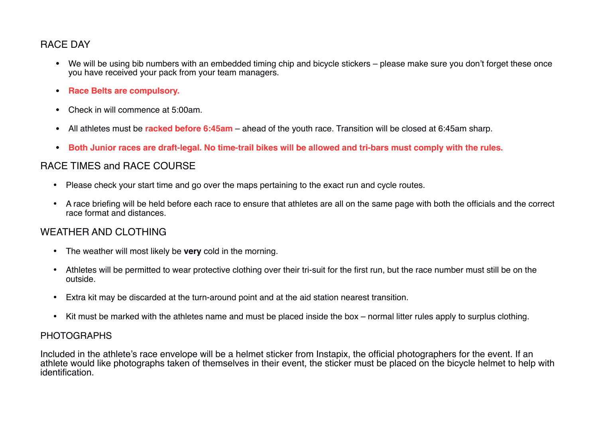### RACE DAY

- We will be using bib numbers with an embedded timing chip and bicycle stickers please make sure you don't forget these once you have received your pack from your team managers.
- **Race Belts are compulsory.**
- Check in will commence at 5:00am.
- All athletes must be **racked before 6:45am** ahead of the youth race. Transition will be closed at 6:45am sharp.
- **Both Junior races are draft-legal. No time-trail bikes will be allowed and tri-bars must comply with the rules.**

### RACE TIMES and RACE COURSE

- Please check your start time and go over the maps pertaining to the exact run and cycle routes.
- A race briefing will be held before each race to ensure that athletes are all on the same page with both the officials and the correct race format and distances.

## WEATHER AND CLOTHING

- The weather will most likely be **very** cold in the morning.
- Athletes will be permitted to wear protective clothing over their tri-suit for the first run, but the race number must still be on the outside.
- Extra kit may be discarded at the turn-around point and at the aid station nearest transition.
- Kit must be marked with the athletes name and must be placed inside the box normal litter rules apply to surplus clothing.

#### PHOTOGRAPHS

Included in the athlete's race envelope will be a helmet sticker from Instapix, the official photographers for the event. If an athlete would like photographs taken of themselves in their event, the sticker must be placed on the bicycle helmet to help with identification.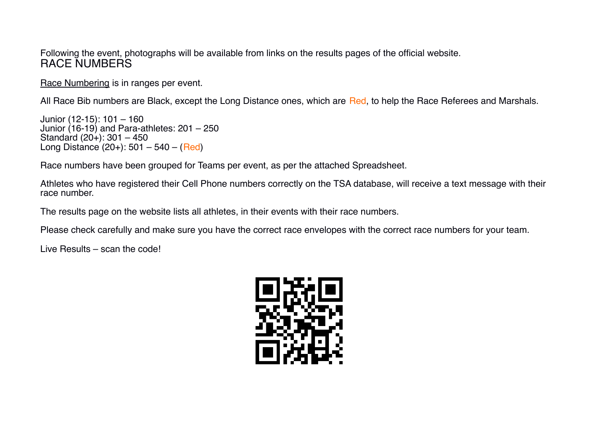Following the event, photographs will be available from links on the results pages of the official website. RACE NUMBERS

Race Numbering is in ranges per event.

All Race Bib numbers are Black, except the Long Distance ones, which are Red, to help the Race Referees and Marshals.

Junior (12-15): 101 – 160 Junior (16-19) and Para-athletes: 201 – 250 Standard (20+): 301 – 450 Long Distance  $(20+)$ : 501 – 540 – (Red)

Race numbers have been grouped for Teams per event, as per the attached Spreadsheet.

Athletes who have registered their Cell Phone numbers correctly on the TSA database, will receive a text message with their race number.

The results page on the website lists all athletes, in their events with their race numbers.

Please check carefully and make sure you have the correct race envelopes with the correct race numbers for your team.

Live Results – scan the code!